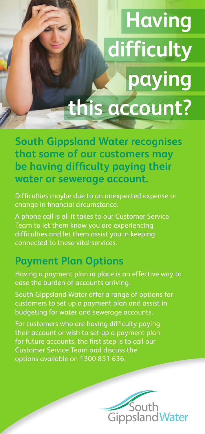## **Having difficulty paying this account?**

**South Gippsland Water recognises that some of our customers may be having difficulty paying their water or sewerage account.**

Difficulties maybe due to an unexpected expense or change in financial circumstance.

A phone call is all it takes to our Customer Service Team to let them know you are experiencing difficulties and let them assist you in keeping connected to these vital services.

## **Payment Plan Options**

Having a payment plan in place is an effective way to ease the burden of accounts arriving.

South Gippsland Water offer a range of options for customers to set up a payment plan and assist in budgeting for water and sewerage accounts.

For customers who are having difficulty paying their account or wish to set up a payment plan for future accounts, the first step is to call our Customer Service Team and discuss the options available on 1300 851 636.